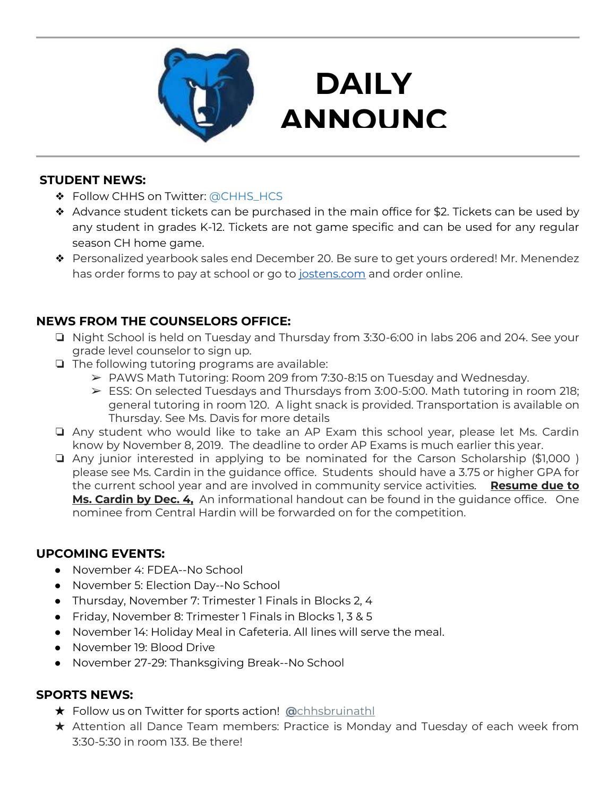

## **DAILY ANNOUNC**

**EMENTS** 

#### **STUDENT NEWS:**

- ❖ Follow CHHS on Twitter: [@CHHS\\_HCS](https://twitter.com/CHHS_HCS)
- ❖ Advance student tickets can be purchased in the main office for \$2. Tickets can be used by any student in grades K-12. Tickets are not game specific and can be used for any regular season CH home game.
- ❖ Personalized yearbook sales end December 20. Be sure to get yours ordered! Mr. Menendez has order forms to pay at school or go to [jostens.com](http://jostens.com/) and order online.

#### **NEWS FROM THE COUNSELORS OFFICE:**

- ❏ Night School is held on Tuesday and Thursday from 3:30-6:00 in labs 206 and 204. See your grade level counselor to sign up.
- ❏ The following tutoring programs are available:
	- ➢ PAWS Math Tutoring: Room 209 from 7:30-8:15 on Tuesday and Wednesday.
	- ➢ ESS: On selected Tuesdays and Thursdays from 3:00-5:00. Math tutoring in room 218; general tutoring in room 120. A light snack is provided. Transportation is available on Thursday. See Ms. Davis for more details
- ❏ Any student who would like to take an AP Exam this school year, please let Ms. Cardin know by November 8, 2019. The deadline to order AP Exams is much earlier this year.
- ❏ Any junior interested in applying to be nominated for the Carson Scholarship (\$1,000 ) please see Ms. Cardin in the guidance office. Students should have a 3.75 or higher GPA for the current school year and are involved in community service activities. **Resume due to Ms. Cardin by Dec. 4,** An informational handout can be found in the guidance office. One nominee from Central Hardin will be forwarded on for the competition.

#### **UPCOMING EVENTS:**

- November 4: FDEA--No School
- November 5: Election Day--No School
- Thursday, November 7: Trimester 1 Finals in Blocks 2, 4
- Friday, November 8: Trimester 1 Finals in Blocks 1, 3 & 5
- November 14: Holiday Meal in Cafeteria. All lines will serve the meal.
- November 19: Blood Drive
- November 27-29: Thanksgiving Break--No School

#### **SPORTS NEWS:**

- ★ Follow us on Twitter for sports action! **[@](https://twitter.com/chhsbruinathl)**[chhsbruinathl](https://twitter.com/chhsbruinathl)
- ★ Attention all Dance Team members: Practice is Monday and Tuesday of each week from 3:30-5:30 in room 133. Be there!